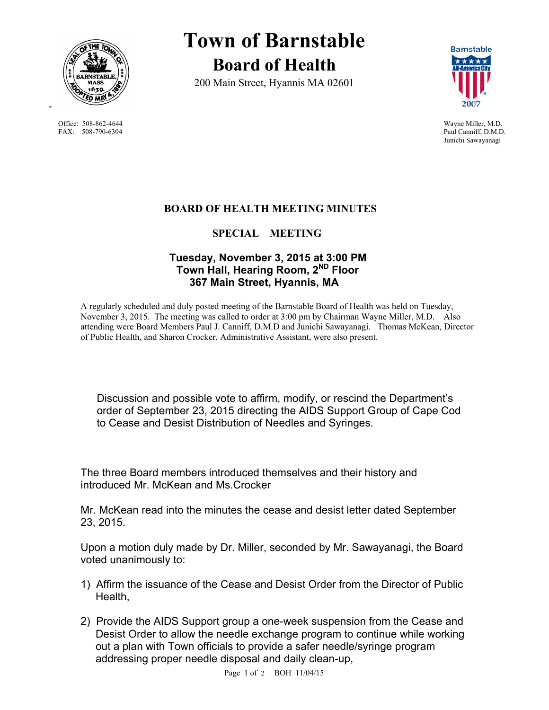

Office: 508-862-4644 Wayne Miller, M.D. FAX: 508-790-6304 Paul Canniff, D.M.D.

## **Town of Barnstable Board of Health**

200 Main Street, Hyannis MA 02601



Junichi Sawayanagi

## **BOARD OF HEALTH MEETING MINUTES**

## **SPECIAL MEETING**

## **Tuesday, November 3, 2015 at 3:00 PM Town Hall, Hearing Room, 2ND Floor 367 Main Street, Hyannis, MA**

A regularly scheduled and duly posted meeting of the Barnstable Board of Health was held on Tuesday, November 3, 2015. The meeting was called to order at 3:00 pm by Chairman Wayne Miller, M.D. Also attending were Board Members Paul J. Canniff, D.M.D and Junichi Sawayanagi. Thomas McKean, Director of Public Health, and Sharon Crocker, Administrative Assistant, were also present.

Discussion and possible vote to affirm, modify, or rescind the Department's order of September 23, 2015 directing the AIDS Support Group of Cape Cod to Cease and Desist Distribution of Needles and Syringes.

The three Board members introduced themselves and their history and introduced Mr. McKean and Ms.Crocker

Mr. McKean read into the minutes the cease and desist letter dated September 23, 2015.

Upon a motion duly made by Dr. Miller, seconded by Mr. Sawayanagi, the Board voted unanimously to:

- 1) Affirm the issuance of the Cease and Desist Order from the Director of Public Health,
- 2) Provide the AIDS Support group a one-week suspension from the Cease and Desist Order to allow the needle exchange program to continue while working out a plan with Town officials to provide a safer needle/syringe program addressing proper needle disposal and daily clean-up,